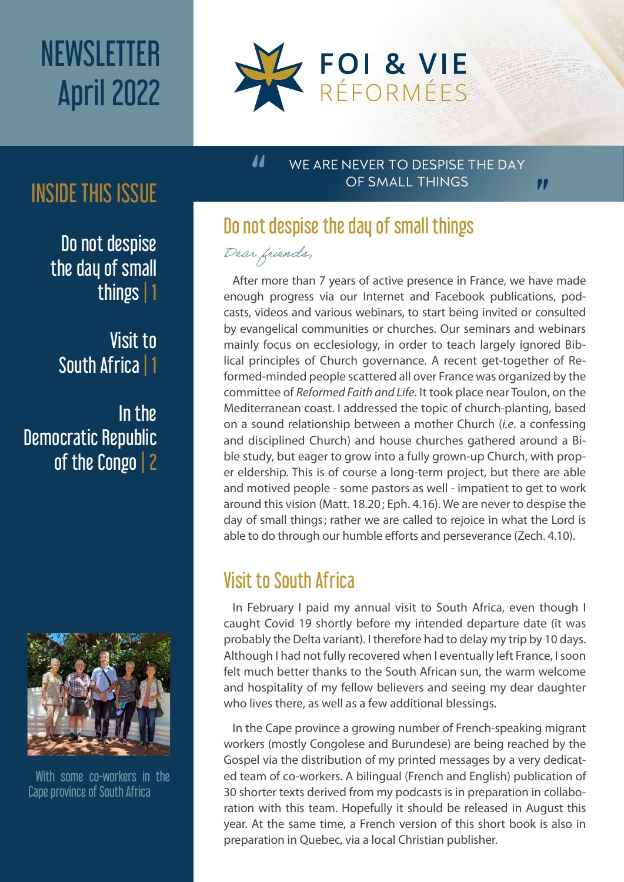# **NEWSLETTER** April 2022



## INSIDE THIS ISSUE

Do not despise the day of small things | 1

Visit to South Africa | 1

In the Democratic Republic of the Congo| 2



With some co-workers in the Cape province of South Africa

#### WE ARE NEVER TO DESPISE THE DAY OF SMALL THINGS

"

### Do not despise the day of small things

Dear friends,

"

After more than 7 years of active presence in France, we have made enough progress via our Internet and Facebook publications, podcasts, videos and various webinars, to start being invited or consulted by evangelical communities or churches. Our seminars and webinars mainly focus on ecclesiology, in order to teach largely ignored Biblical principles of Church governance. A recent get-together of Reformed-minded people scattered all over France was organized by the committee of *Reformed Faith and Life*. It took place near Toulon, on the Mediterranean coast. I addressed the topic of church-planting, based on a sound relationship between a mother Church (*i.e*. a confessing and disciplined Church) and house churches gathered around a Bible study, but eager to grow into a fully grown-up Church, with proper eldership. This is of course a long-term project, but there are able and motived people - some pastors as well - impatient to get to work around this vision (Matt. 18.20; Eph. 4.16). We are never to despise the day of small things; rather we are called to rejoice in what the Lord is able to do through our humble efforts and perseverance (Zech. 4.10).

### Visit to South Africa

In February I paid my annual visit to South Africa, even though I caught Covid 19 shortly before my intended departure date (it was probably the Delta variant). I therefore had to delay my trip by 10 days. Although I had not fully recovered when I eventually left France, I soon felt much better thanks to the South African sun, the warm welcome and hospitality of my fellow believers and seeing my dear daughter who lives there, as well as a few additional blessings.

In the Cape province a growing number of French-speaking migrant workers (mostly Congolese and Burundese) are being reached by the Gospel via the distribution of my printed messages by a very dedicated team of co-workers. A bilingual (French and English) publication of 30 shorter texts derived from my podcasts is in preparation in collaboration with this team. Hopefully it should be released in August this year. At the same time, a French version of this short book is also in preparation in Quebec, via a local Christian publisher.